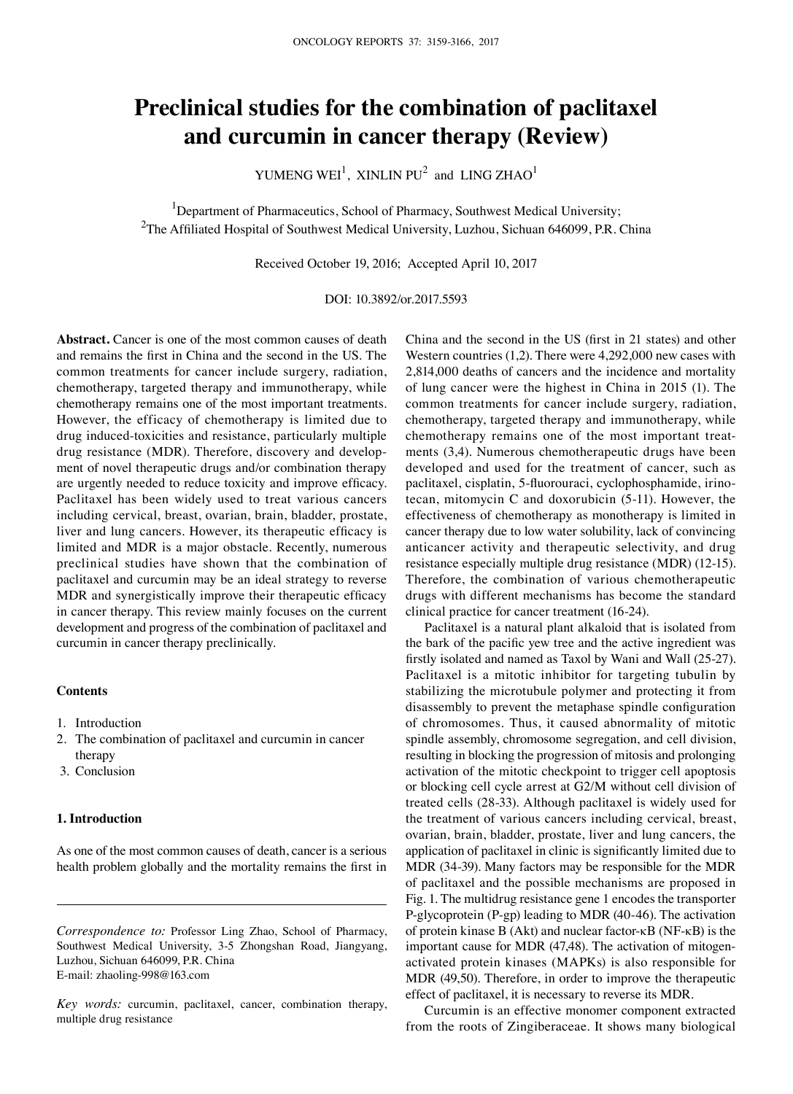# **Preclinical studies for the combination of paclitaxel and curcumin in cancer therapy (Review)**

YUMENG WEI<sup>1</sup>, XINLIN PU<sup>2</sup> and LING ZHAO<sup>1</sup>

<sup>1</sup>Department of Pharmaceutics, School of Pharmacy, Southwest Medical University;  $^{2}$ The Affiliated Hospital of Southwest Medical University, Luzhou, Sichuan 646099, P.R. China

Received October 19, 2016; Accepted April 10, 2017

## DOI: 10.3892/or.2017.5593

**Abstract.** Cancer is one of the most common causes of death and remains the first in China and the second in the US. The common treatments for cancer include surgery, radiation, chemotherapy, targeted therapy and immunotherapy, while chemotherapy remains one of the most important treatments. However, the efficacy of chemotherapy is limited due to drug induced-toxicities and resistance, particularly multiple drug resistance (MDR). Therefore, discovery and development of novel therapeutic drugs and/or combination therapy are urgently needed to reduce toxicity and improve efficacy. Paclitaxel has been widely used to treat various cancers including cervical, breast, ovarian, brain, bladder, prostate, liver and lung cancers. However, its therapeutic efficacy is limited and MDR is a major obstacle. Recently, numerous preclinical studies have shown that the combination of paclitaxel and curcumin may be an ideal strategy to reverse MDR and synergistically improve their therapeutic efficacy in cancer therapy. This review mainly focuses on the current development and progress of the combination of paclitaxel and curcumin in cancer therapy preclinically.

## **Contents**

- 1. Introduction
- 2. The combination of paclitaxel and curcumin in cancer therapy
- 3. Conclusion

## **1. Introduction**

As one of the most common causes of death, cancer is a serious health problem globally and the mortality remains the first in

*Key words:* curcumin, paclitaxel, cancer, combination therapy, multiple drug resistance

China and the second in the US (first in 21 states) and other Western countries (1,2). There were 4,292,000 new cases with 2,814,000 deaths of cancers and the incidence and mortality of lung cancer were the highest in China in 2015 (1). The common treatments for cancer include surgery, radiation, chemotherapy, targeted therapy and immunotherapy, while chemotherapy remains one of the most important treatments (3,4). Numerous chemotherapeutic drugs have been developed and used for the treatment of cancer, such as paclitaxel, cisplatin, 5-fluorouraci, cyclophosphamide, irinotecan, mitomycin C and doxorubicin (5-11). However, the effectiveness of chemotherapy as monotherapy is limited in cancer therapy due to low water solubility, lack of convincing anticancer activity and therapeutic selectivity, and drug resistance especially multiple drug resistance (MDR) (12-15). Therefore, the combination of various chemotherapeutic drugs with different mechanisms has become the standard clinical practice for cancer treatment (16-24).

Paclitaxel is a natural plant alkaloid that is isolated from the bark of the pacific yew tree and the active ingredient was firstly isolated and named as Taxol by Wani and Wall (25-27). Paclitaxel is a mitotic inhibitor for targeting tubulin by stabilizing the microtubule polymer and protecting it from disassembly to prevent the metaphase spindle configuration of chromosomes. Thus, it caused abnormality of mitotic spindle assembly, chromosome segregation, and cell division, resulting in blocking the progression of mitosis and prolonging activation of the mitotic checkpoint to trigger cell apoptosis or blocking cell cycle arrest at G2/M without cell division of treated cells (28-33). Although paclitaxel is widely used for the treatment of various cancers including cervical, breast, ovarian, brain, bladder, prostate, liver and lung cancers, the application of paclitaxel in clinic is significantly limited due to MDR (34-39). Many factors may be responsible for the MDR of paclitaxel and the possible mechanisms are proposed in Fig. 1. The multidrug resistance gene 1 encodes the transporter P-glycoprotein (P-gp) leading to MDR (40-46). The activation of protein kinase B (Akt) and nuclear factor-κB (NF-κB) is the important cause for MDR (47,48). The activation of mitogenactivated protein kinases (MAPKs) is also responsible for MDR (49,50). Therefore, in order to improve the therapeutic effect of paclitaxel, it is necessary to reverse its MDR.

Curcumin is an effective monomer component extracted from the roots of Zingiberaceae. It shows many biological

*Correspondence to:* Professor Ling Zhao, School of Pharmacy, Southwest Medical University, 3-5 Zhongshan Road, Jiangyang, Luzhou, Sichuan 646099, P.R. China E-mail: zhaoling-998@163.com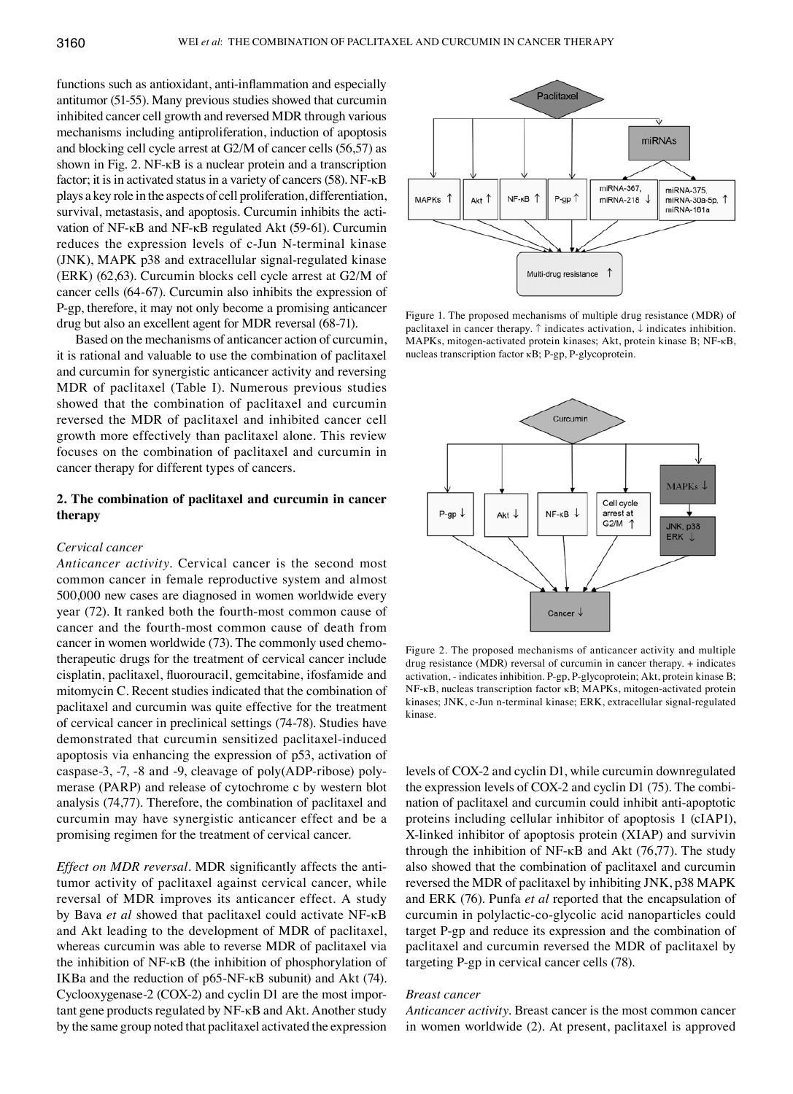functions such as antioxidant, anti-inflammation and especially antitumor (51-55). Many previous studies showed that curcumin inhibited cancer cell growth and reversed MDR through various mechanisms including antiproliferation, induction of apoptosis and blocking cell cycle arrest at G2/M of cancer cells (56,57) as shown in Fig. 2. NF-κB is a nuclear protein and a transcription factor; it is in activated status in a variety of cancers(58). NF-κB plays a key role in the aspects of cell proliferation, differentiation, survival, metastasis, and apoptosis. Curcumin inhibits the activation of NF-κB and NF-κB regulated Akt (59-61). Curcumin reduces the expression levels of c-Jun N-terminal kinase (JNK), MAPK p38 and extracellular signal-regulated kinase (ERK) (62,63). Curcumin blocks cell cycle arrest at G2/M of cancer cells (64-67). Curcumin also inhibits the expression of P-gp, therefore, it may not only become a promising anticancer drug but also an excellent agent for MDR reversal (68-71).

Based on the mechanisms of anticancer action of curcumin, it is rational and valuable to use the combination of paclitaxel and curcumin for synergistic anticancer activity and reversing MDR of paclitaxel (Table I). Numerous previous studies showed that the combination of paclitaxel and curcumin reversed the MDR of paclitaxel and inhibited cancer cell growth more effectively than paclitaxel alone. This review focuses on the combination of paclitaxel and curcumin in cancer therapy for different types of cancers.

# **2. The combination of paclitaxel and curcumin in cancer therapy**

## *Cervical cancer*

*Anticancer activity.* Cervical cancer is the second most common cancer in female reproductive system and almost 500,000 new cases are diagnosed in women worldwide every year (72). It ranked both the fourth-most common cause of cancer and the fourth-most common cause of death from cancer in women worldwide (73). The commonly used chemotherapeutic drugs for the treatment of cervical cancer include cisplatin, paclitaxel, fluorouracil, gemcitabine, ifosfamide and mitomycin C. Recent studies indicated that the combination of paclitaxel and curcumin was quite effective for the treatment of cervical cancer in preclinical settings (74-78). Studies have demonstrated that curcumin sensitized paclitaxel-induced apoptosis via enhancing the expression of p53, activation of caspase-3, -7, -8 and -9, cleavage of poly(ADP-ribose) polymerase (PARP) and release of cytochrome c by western blot analysis (74,77). Therefore, the combination of paclitaxel and curcumin may have synergistic anticancer effect and be a promising regimen for the treatment of cervical cancer.

*Effect on MDR reversal.* MDR significantly affects the antitumor activity of paclitaxel against cervical cancer, while reversal of MDR improves its anticancer effect. A study by Bava *et al* showed that paclitaxel could activate NF-κB and Akt leading to the development of MDR of paclitaxel, whereas curcumin was able to reverse MDR of paclitaxel via the inhibition of NF-κB (the inhibition of phosphorylation of IKBa and the reduction of p65-NF-κB subunit) and Akt (74). Cyclooxygenase-2 (COX-2) and cyclin D1 are the most important gene products regulated by NF-κB and Akt. Another study by the same group noted that paclitaxel activated the expression



Figure 1. The proposed mechanisms of multiple drug resistance (MDR) of paclitaxel in cancer therapy. ↑ indicates activation, ↓ indicates inhibition. MAPKs, mitogen-activated protein kinases; Akt, protein kinase B; NF-κB, nucleas transcription factor κB; P-gp, P-glycoprotein.



Figure 2. The proposed mechanisms of anticancer activity and multiple drug resistance (MDR) reversal of curcumin in cancer therapy. + indicates activation, - indicates inhibition. P-gp, P-glycoprotein; Akt, protein kinase B; NF-κB, nucleas transcription factor κB; MAPKs, mitogen-activated protein kinases; JNK, c-Jun n-terminal kinase; ERK, extracellular signal-regulated kinase.

levels of COX-2 and cyclin D1, while curcumin downregulated the expression levels of COX-2 and cyclin D1 (75). The combination of paclitaxel and curcumin could inhibit anti-apoptotic proteins including cellular inhibitor of apoptosis 1 (cIAP1), X-linked inhibitor of apoptosis protein (XIAP) and survivin through the inhibition of  $NF$ - $\kappa$ B and Akt (76,77). The study also showed that the combination of paclitaxel and curcumin reversed the MDR of paclitaxel by inhibiting JNK, p38 MAPK and ERK (76). Punfa *et al* reported that the encapsulation of curcumin in polylactic-co-glycolic acid nanoparticles could target P-gp and reduce its expression and the combination of paclitaxel and curcumin reversed the MDR of paclitaxel by targeting P-gp in cervical cancer cells (78).

## *Breast cancer*

*Anticancer activity.* Breast cancer is the most common cancer in women worldwide (2). At present, paclitaxel is approved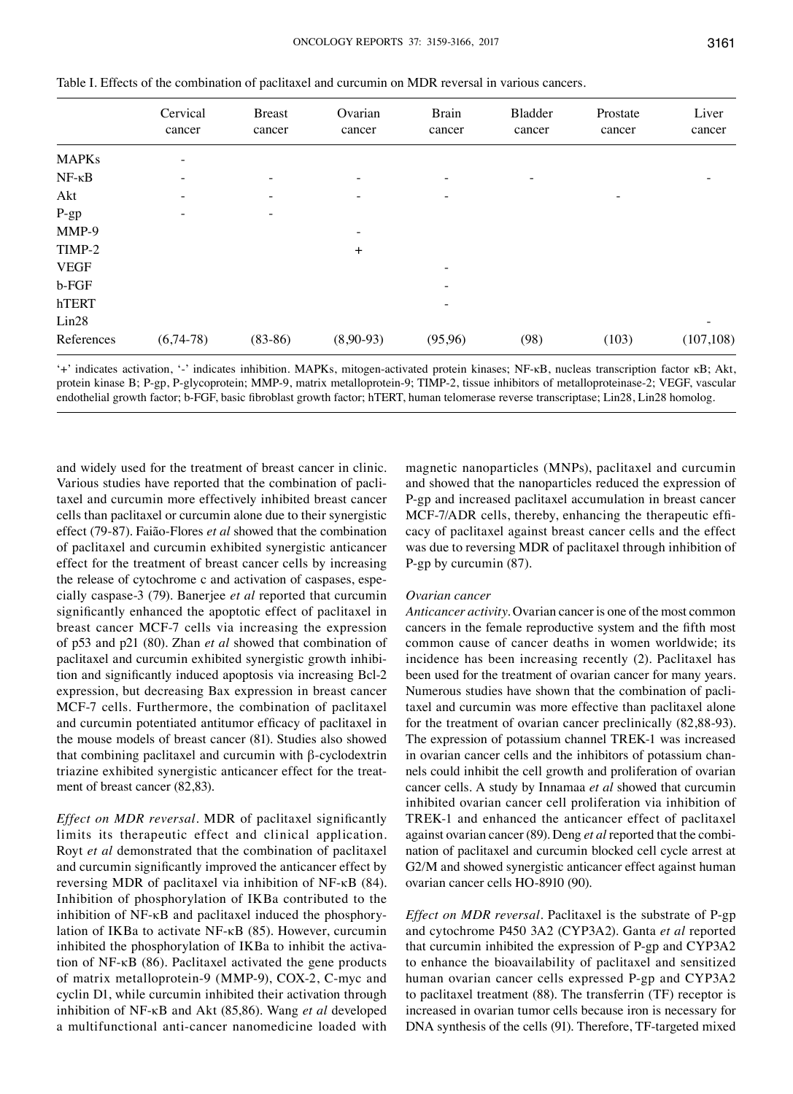|                 | Cervical<br>cancer       | <b>Breast</b><br>cancer  | Ovarian<br>cancer        | <b>Brain</b><br>cancer   | Bladder<br>cancer        | Prostate<br>cancer | Liver<br>cancer |
|-----------------|--------------------------|--------------------------|--------------------------|--------------------------|--------------------------|--------------------|-----------------|
| <b>MAPKs</b>    | $\overline{\phantom{0}}$ |                          |                          |                          |                          |                    |                 |
| $NF - \kappa B$ | $\overline{\phantom{0}}$ | $\overline{\phantom{a}}$ | $\overline{\phantom{0}}$ | $\overline{\phantom{0}}$ | $\overline{\phantom{0}}$ |                    |                 |
| Akt             |                          | $\overline{\phantom{a}}$ | $\overline{\phantom{0}}$ | $\overline{\phantom{0}}$ |                          |                    |                 |
| $P-gp$          |                          | $\qquad \qquad =$        |                          |                          |                          |                    |                 |
| MMP-9           |                          |                          | $\overline{\phantom{0}}$ |                          |                          |                    |                 |
| TIMP-2          |                          |                          | $+$                      |                          |                          |                    |                 |
| <b>VEGF</b>     |                          |                          |                          | $\overline{\phantom{0}}$ |                          |                    |                 |
| b-FGF           |                          |                          |                          | $\overline{\phantom{0}}$ |                          |                    |                 |
| hTERT           |                          |                          |                          | $\overline{\phantom{0}}$ |                          |                    |                 |
| Lin28           |                          |                          |                          |                          |                          |                    |                 |
| References      | $(6,74-78)$              | $(83-86)$                | $(8,90-93)$              | (95,96)                  | (98)                     | (103)              | (107, 108)      |

Table I. Effects of the combination of paclitaxel and curcumin on MDR reversal in various cancers.

'+' indicates activation, '-' indicates inhibition. MAPKs, mitogen-activated protein kinases; NF-κB, nucleas transcription factor κB; Akt, protein kinase B; P-gp, P-glycoprotein; MMP-9, matrix metalloprotein-9; TIMP-2, tissue inhibitors of metalloproteinase-2; VEGF, vascular endothelial growth factor; b-FGF, basic fibroblast growth factor; hTERT, human telomerase reverse transcriptase; Lin28, Lin28 homolog.

and widely used for the treatment of breast cancer in clinic. Various studies have reported that the combination of paclitaxel and curcumin more effectively inhibited breast cancer cells than paclitaxel or curcumin alone due to their synergistic effect (79-87). Faião-Flores *et al* showed that the combination of paclitaxel and curcumin exhibited synergistic anticancer effect for the treatment of breast cancer cells by increasing the release of cytochrome c and activation of caspases, especially caspase-3 (79). Banerjee *et al* reported that curcumin significantly enhanced the apoptotic effect of paclitaxel in breast cancer MCF-7 cells via increasing the expression of p53 and p21 (80). Zhan *et al* showed that combination of paclitaxel and curcumin exhibited synergistic growth inhibition and significantly induced apoptosis via increasing Bcl-2 expression, but decreasing Bax expression in breast cancer MCF-7 cells. Furthermore, the combination of paclitaxel and curcumin potentiated antitumor efficacy of paclitaxel in the mouse models of breast cancer (81). Studies also showed that combining paclitaxel and curcumin with β-cyclodextrin triazine exhibited synergistic anticancer effect for the treatment of breast cancer (82,83).

*Effect on MDR reversal.* MDR of paclitaxel significantly limits its therapeutic effect and clinical application. Royt *et al* demonstrated that the combination of paclitaxel and curcumin significantly improved the anticancer effect by reversing MDR of paclitaxel via inhibition of NF-κB (84). Inhibition of phosphorylation of IKBa contributed to the inhibition of NF-κB and paclitaxel induced the phosphorylation of IKBa to activate NF-κB (85). However, curcumin inhibited the phosphorylation of IKBa to inhibit the activation of NF-κB (86). Paclitaxel activated the gene products of matrix metalloprotein-9 (MMP-9), COX-2, C-myc and cyclin D1, while curcumin inhibited their activation through inhibition of NF-κB and Akt (85,86). Wang *et al* developed a multifunctional anti-cancer nanomedicine loaded with magnetic nanoparticles (MNPs), paclitaxel and curcumin and showed that the nanoparticles reduced the expression of P-gp and increased paclitaxel accumulation in breast cancer MCF-7/ADR cells, thereby, enhancing the therapeutic efficacy of paclitaxel against breast cancer cells and the effect was due to reversing MDR of paclitaxel through inhibition of P-gp by curcumin (87).

## *Ovarian cancer*

*Anticancer activity.* Ovarian cancer is one of the most common cancers in the female reproductive system and the fifth most common cause of cancer deaths in women worldwide; its incidence has been increasing recently (2). Paclitaxel has been used for the treatment of ovarian cancer for many years. Numerous studies have shown that the combination of paclitaxel and curcumin was more effective than paclitaxel alone for the treatment of ovarian cancer preclinically (82,88‑93). The expression of potassium channel TREK-1 was increased in ovarian cancer cells and the inhibitors of potassium channels could inhibit the cell growth and proliferation of ovarian cancer cells. A study by Innamaa *et al* showed that curcumin inhibited ovarian cancer cell proliferation via inhibition of TREK-1 and enhanced the anticancer effect of paclitaxel against ovarian cancer (89). Deng *et al* reported that the combination of paclitaxel and curcumin blocked cell cycle arrest at G2/M and showed synergistic anticancer effect against human ovarian cancer cells HO-8910 (90).

*Effect on MDR reversal.* Paclitaxel is the substrate of P-gp and cytochrome P450 3A2 (CYP3A2). Ganta *et al* reported that curcumin inhibited the expression of P-gp and CYP3A2 to enhance the bioavailability of paclitaxel and sensitized human ovarian cancer cells expressed P-gp and CYP3A2 to paclitaxel treatment (88). The transferrin (TF) receptor is increased in ovarian tumor cells because iron is necessary for DNA synthesis of the cells (91). Therefore, TF-targeted mixed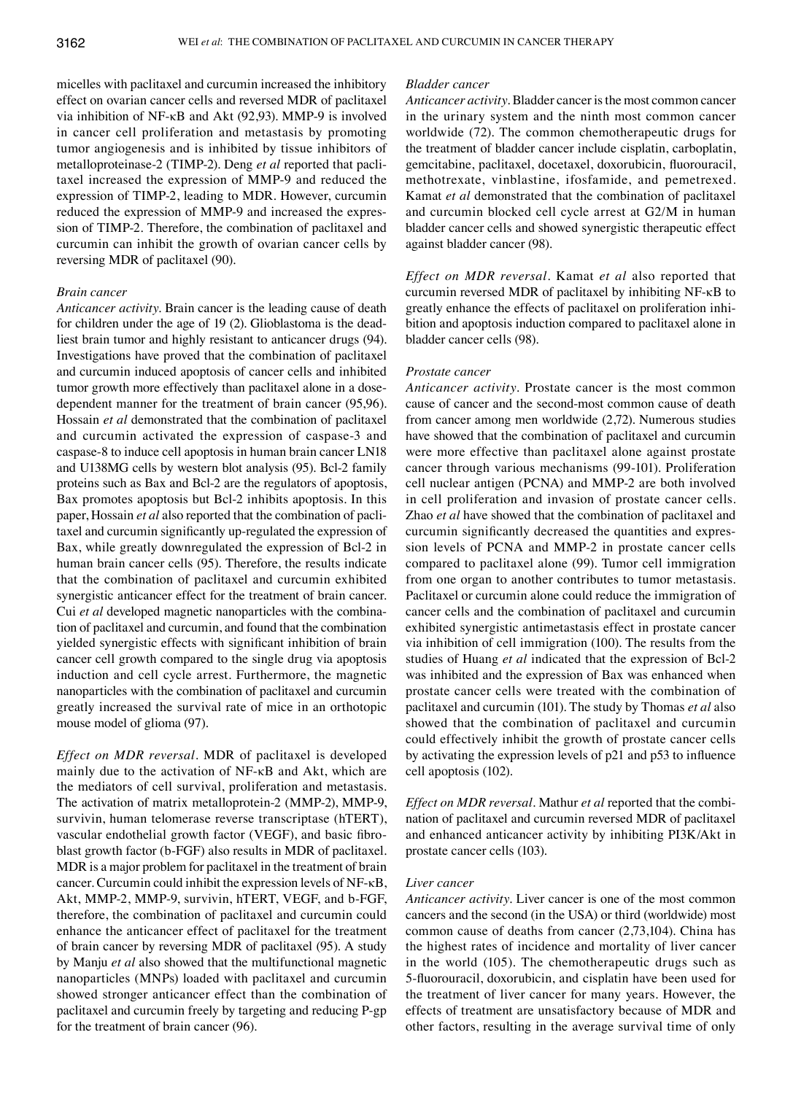micelles with paclitaxel and curcumin increased the inhibitory effect on ovarian cancer cells and reversed MDR of paclitaxel via inhibition of NF-κB and Akt (92,93). MMP-9 is involved in cancer cell proliferation and metastasis by promoting tumor angiogenesis and is inhibited by tissue inhibitors of metalloproteinase-2 (TIMP-2). Deng *et al* reported that paclitaxel increased the expression of MMP-9 and reduced the expression of TIMP-2, leading to MDR. However, curcumin reduced the expression of MMP-9 and increased the expression of TIMP-2. Therefore, the combination of paclitaxel and curcumin can inhibit the growth of ovarian cancer cells by reversing MDR of paclitaxel (90).

# *Brain cancer*

*Anticancer activity.* Brain cancer is the leading cause of death for children under the age of 19 (2). Glioblastoma is the deadliest brain tumor and highly resistant to anticancer drugs (94). Investigations have proved that the combination of paclitaxel and curcumin induced apoptosis of cancer cells and inhibited tumor growth more effectively than paclitaxel alone in a dosedependent manner for the treatment of brain cancer (95,96). Hossain *et al* demonstrated that the combination of paclitaxel and curcumin activated the expression of caspase-3 and caspase-8 to induce cell apoptosis in human brain cancer LN18 and U138MG cells by western blot analysis (95). Bcl-2 family proteins such as Bax and Bcl-2 are the regulators of apoptosis, Bax promotes apoptosis but Bcl-2 inhibits apoptosis. In this paper, Hossain *et al* also reported that the combination of paclitaxel and curcumin significantly up-regulated the expression of Bax, while greatly downregulated the expression of Bcl-2 in human brain cancer cells (95). Therefore, the results indicate that the combination of paclitaxel and curcumin exhibited synergistic anticancer effect for the treatment of brain cancer. Cui *et al* developed magnetic nanoparticles with the combination of paclitaxel and curcumin, and found that the combination yielded synergistic effects with significant inhibition of brain cancer cell growth compared to the single drug via apoptosis induction and cell cycle arrest. Furthermore, the magnetic nanoparticles with the combination of paclitaxel and curcumin greatly increased the survival rate of mice in an orthotopic mouse model of glioma (97).

*Effect on MDR reversal.* MDR of paclitaxel is developed mainly due to the activation of NF-κB and Akt, which are the mediators of cell survival, proliferation and metastasis. The activation of matrix metalloprotein-2 (MMP-2), MMP-9, survivin, human telomerase reverse transcriptase (hTERT), vascular endothelial growth factor (VEGF), and basic fibroblast growth factor (b-FGF) also results in MDR of paclitaxel. MDR is a major problem for paclitaxel in the treatment of brain cancer. Curcumin could inhibit the expression levels of NF-κB, Akt, MMP-2, MMP-9, survivin, hTERT, VEGF, and b-FGF, therefore, the combination of paclitaxel and curcumin could enhance the anticancer effect of paclitaxel for the treatment of brain cancer by reversing MDR of paclitaxel (95). A study by Manju *et al* also showed that the multifunctional magnetic nanoparticles (MNPs) loaded with paclitaxel and curcumin showed stronger anticancer effect than the combination of paclitaxel and curcumin freely by targeting and reducing P-gp for the treatment of brain cancer (96).

#### *Bladder cancer*

*Anticancer activity.* Bladder cancer is the most common cancer in the urinary system and the ninth most common cancer worldwide (72). The common chemotherapeutic drugs for the treatment of bladder cancer include cisplatin, carboplatin, gemcitabine, paclitaxel, docetaxel, doxorubicin, fluorouracil, methotrexate, vinblastine, ifosfamide, and pemetrexed. Kamat *et al* demonstrated that the combination of paclitaxel and curcumin blocked cell cycle arrest at G2/M in human bladder cancer cells and showed synergistic therapeutic effect against bladder cancer (98).

*Effect on MDR reversal.* Kamat *et al* also reported that curcumin reversed MDR of paclitaxel by inhibiting NF-κB to greatly enhance the effects of paclitaxel on proliferation inhibition and apoptosis induction compared to paclitaxel alone in bladder cancer cells (98).

## *Prostate cancer*

*Anticancer activity.* Prostate cancer is the most common cause of cancer and the second-most common cause of death from cancer among men worldwide (2,72). Numerous studies have showed that the combination of paclitaxel and curcumin were more effective than paclitaxel alone against prostate cancer through various mechanisms (99-101). Proliferation cell nuclear antigen (PCNA) and MMP-2 are both involved in cell proliferation and invasion of prostate cancer cells. Zhao *et al* have showed that the combination of paclitaxel and curcumin significantly decreased the quantities and expression levels of PCNA and MMP-2 in prostate cancer cells compared to paclitaxel alone (99). Tumor cell immigration from one organ to another contributes to tumor metastasis. Paclitaxel or curcumin alone could reduce the immigration of cancer cells and the combination of paclitaxel and curcumin exhibited synergistic antimetastasis effect in prostate cancer via inhibition of cell immigration (100). The results from the studies of Huang *et al* indicated that the expression of Bcl-2 was inhibited and the expression of Bax was enhanced when prostate cancer cells were treated with the combination of paclitaxel and curcumin (101). The study by Thomas *et al* also showed that the combination of paclitaxel and curcumin could effectively inhibit the growth of prostate cancer cells by activating the expression levels of p21 and p53 to influence cell apoptosis (102).

*Effect on MDR reversal.* Mathur *et al* reported that the combination of paclitaxel and curcumin reversed MDR of paclitaxel and enhanced anticancer activity by inhibiting PI3K/Akt in prostate cancer cells (103).

## *Liver cancer*

*Anticancer activity.* Liver cancer is one of the most common cancers and the second (in the USA) or third (worldwide) most common cause of deaths from cancer (2,73,104). China has the highest rates of incidence and mortality of liver cancer in the world (105). The chemotherapeutic drugs such as 5-fluorouracil, doxorubicin, and cisplatin have been used for the treatment of liver cancer for many years. However, the effects of treatment are unsatisfactory because of MDR and other factors, resulting in the average survival time of only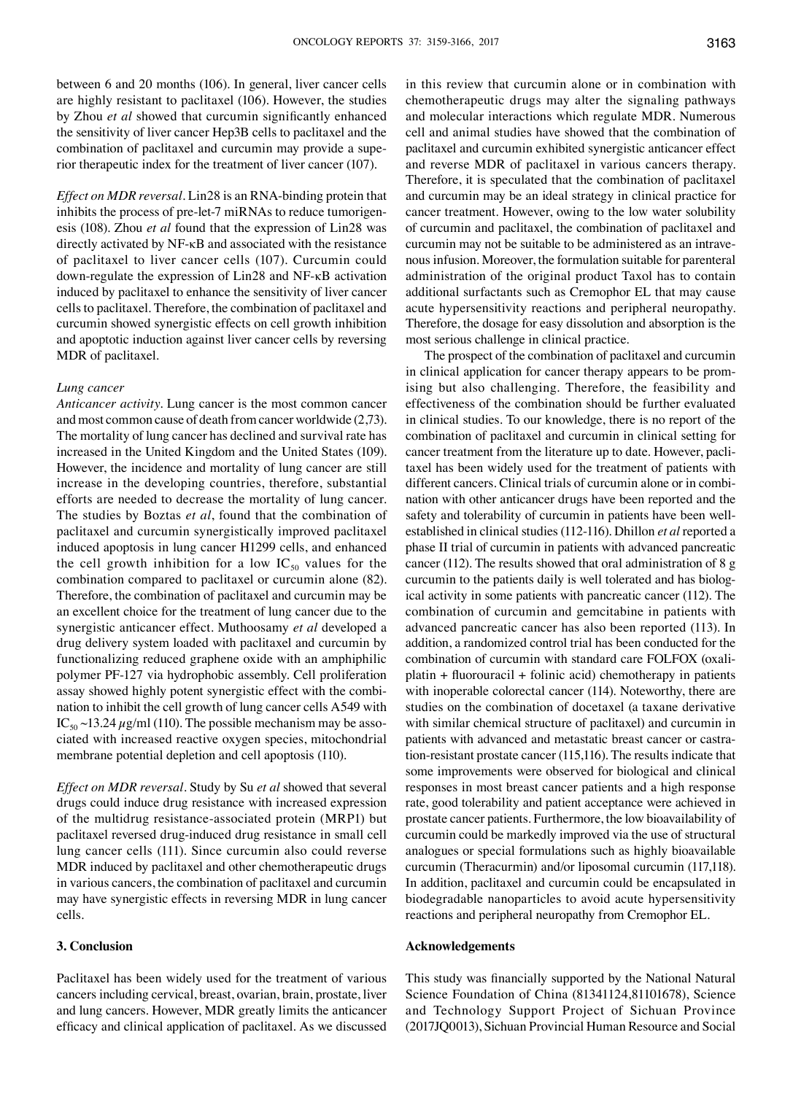between 6 and 20 months (106). In general, liver cancer cells are highly resistant to paclitaxel (106). However, the studies by Zhou *et al* showed that curcumin significantly enhanced the sensitivity of liver cancer Hep3B cells to paclitaxel and the combination of paclitaxel and curcumin may provide a superior therapeutic index for the treatment of liver cancer (107).

*Effect on MDR reversal.* Lin28 is an RNA-binding protein that inhibits the process of pre-let-7 miRNAs to reduce tumorigenesis (108). Zhou *et al* found that the expression of Lin28 was directly activated by NF-κB and associated with the resistance of paclitaxel to liver cancer cells (107). Curcumin could down-regulate the expression of Lin28 and NF-κB activation induced by paclitaxel to enhance the sensitivity of liver cancer cells to paclitaxel. Therefore, the combination of paclitaxel and curcumin showed synergistic effects on cell growth inhibition and apoptotic induction against liver cancer cells by reversing MDR of paclitaxel.

## *Lung cancer*

*Anticancer activity.* Lung cancer is the most common cancer and most common cause of death from cancer worldwide (2,73). The mortality of lung cancer has declined and survival rate has increased in the United Kingdom and the United States (109). However, the incidence and mortality of lung cancer are still increase in the developing countries, therefore, substantial efforts are needed to decrease the mortality of lung cancer. The studies by Boztas *et al*, found that the combination of paclitaxel and curcumin synergistically improved paclitaxel induced apoptosis in lung cancer H1299 cells, and enhanced the cell growth inhibition for a low  $IC_{50}$  values for the combination compared to paclitaxel or curcumin alone (82). Therefore, the combination of paclitaxel and curcumin may be an excellent choice for the treatment of lung cancer due to the synergistic anticancer effect. Muthoosamy *et al* developed a drug delivery system loaded with paclitaxel and curcumin by functionalizing reduced graphene oxide with an amphiphilic polymer PF-127 via hydrophobic assembly. Cell proliferation assay showed highly potent synergistic effect with the combination to inhibit the cell growth of lung cancer cells A549 with IC<sub>50</sub> ~13.24  $\mu$ g/ml (110). The possible mechanism may be associated with increased reactive oxygen species, mitochondrial membrane potential depletion and cell apoptosis (110).

*Effect on MDR reversal.* Study by Su *et al* showed that several drugs could induce drug resistance with increased expression of the multidrug resistance-associated protein (MRP1) but paclitaxel reversed drug-induced drug resistance in small cell lung cancer cells (111). Since curcumin also could reverse MDR induced by paclitaxel and other chemotherapeutic drugs in various cancers, the combination of paclitaxel and curcumin may have synergistic effects in reversing MDR in lung cancer cells.

## **3. Conclusion**

Paclitaxel has been widely used for the treatment of various cancers including cervical, breast, ovarian, brain, prostate, liver and lung cancers. However, MDR greatly limits the anticancer efficacy and clinical application of paclitaxel. As we discussed in this review that curcumin alone or in combination with chemotherapeutic drugs may alter the signaling pathways and molecular interactions which regulate MDR. Numerous cell and animal studies have showed that the combination of paclitaxel and curcumin exhibited synergistic anticancer effect and reverse MDR of paclitaxel in various cancers therapy. Therefore, it is speculated that the combination of paclitaxel and curcumin may be an ideal strategy in clinical practice for cancer treatment. However, owing to the low water solubility of curcumin and paclitaxel, the combination of paclitaxel and curcumin may not be suitable to be administered as an intravenous infusion. Moreover, the formulation suitable for parenteral administration of the original product Taxol has to contain additional surfactants such as Cremophor EL that may cause acute hypersensitivity reactions and peripheral neuropathy. Therefore, the dosage for easy dissolution and absorption is the most serious challenge in clinical practice.

The prospect of the combination of paclitaxel and curcumin in clinical application for cancer therapy appears to be promising but also challenging. Therefore, the feasibility and effectiveness of the combination should be further evaluated in clinical studies. To our knowledge, there is no report of the combination of paclitaxel and curcumin in clinical setting for cancer treatment from the literature up to date. However, paclitaxel has been widely used for the treatment of patients with different cancers. Clinical trials of curcumin alone or in combination with other anticancer drugs have been reported and the safety and tolerability of curcumin in patients have been wellestablished in clinical studies (112-116). Dhillon *et al* reported a phase II trial of curcumin in patients with advanced pancreatic cancer (112). The results showed that oral administration of 8 g curcumin to the patients daily is well tolerated and has biological activity in some patients with pancreatic cancer (112). The combination of curcumin and gemcitabine in patients with advanced pancreatic cancer has also been reported (113). In addition, a randomized control trial has been conducted for the combination of curcumin with standard care FOLFOX (oxaliplatin + fluorouracil + folinic acid) chemotherapy in patients with inoperable colorectal cancer (114). Noteworthy, there are studies on the combination of docetaxel (a taxane derivative with similar chemical structure of paclitaxel) and curcumin in patients with advanced and metastatic breast cancer or castration-resistant prostate cancer (115,116). The results indicate that some improvements were observed for biological and clinical responses in most breast cancer patients and a high response rate, good tolerability and patient acceptance were achieved in prostate cancer patients. Furthermore, the low bioavailability of curcumin could be markedly improved via the use of structural analogues or special formulations such as highly bioavailable curcumin (Theracurmin) and/or liposomal curcumin (117,118). In addition, paclitaxel and curcumin could be encapsulated in biodegradable nanoparticles to avoid acute hypersensitivity reactions and peripheral neuropathy from Cremophor EL.

#### **Acknowledgements**

This study was financially supported by the National Natural Science Foundation of China (81341124,81101678), Science and Technology Support Project of Sichuan Province (2017JQ0013), Sichuan Provincial Human Resource and Social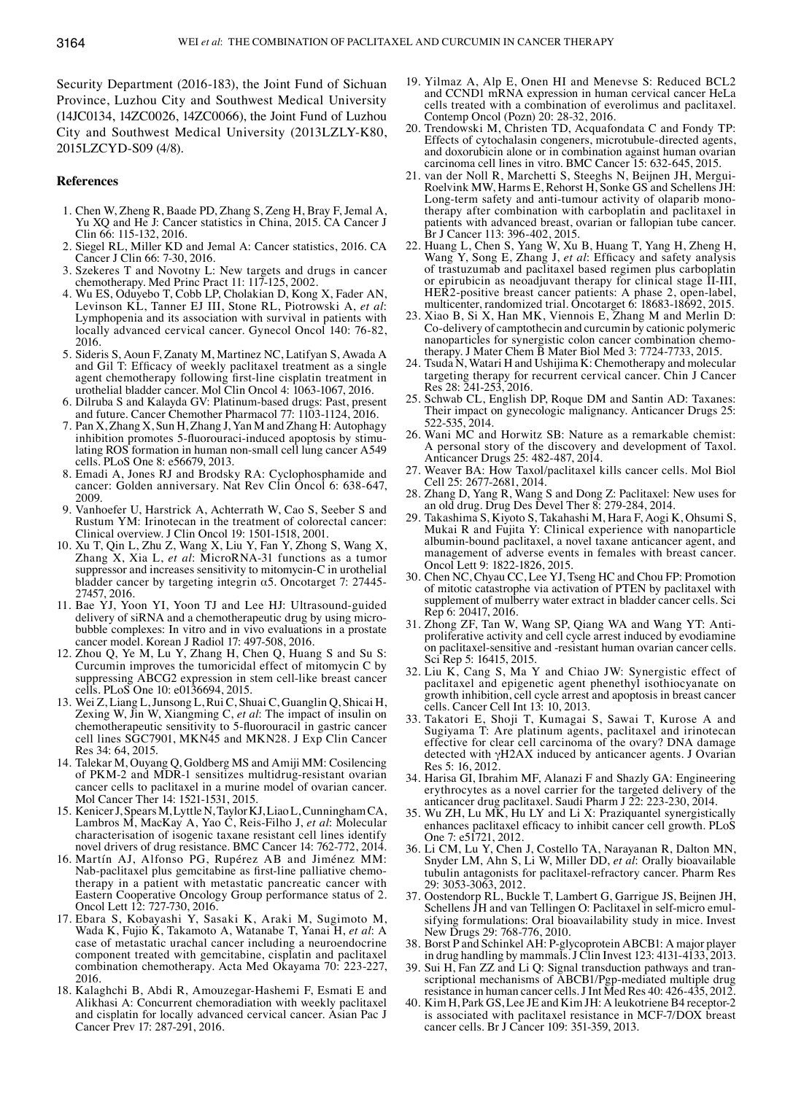Security Department (2016-183), the Joint Fund of Sichuan Province, Luzhou City and Southwest Medical University (14JC0134, 14ZC0026, 14ZC0066), the Joint Fund of Luzhou City and Southwest Medical University (2013LZLY-K80, 2015LZCYD-S09 (4/8).

## **References**

- 1. Chen W, Zheng R, Baade PD, Zhang S, Zeng H, Bray F, Jemal A, Yu XQ and He J: Cancer statistics in China, 2015. CA Cancer J Clin 66: 115-132, 2016.
- 2. Siegel RL, Miller KD and Jemal A: Cancer statistics, 2016. CA Cancer J Clin 66: 7-30, 2016.
- 3. Szekeres T and Novotny L: New targets and drugs in cancer chemotherapy. Med Princ Pract 11: 117-125, 2002.
- 4. Wu ES, Oduyebo T, Cobb LP, Cholakian D, Kong X, Fader AN, Levinson KL, Tanner EJ III, Stone RL, Piotrowski A, *et al*: Lymphopenia and its association with survival in patients with locally advanced cervical cancer. Gynecol Oncol 140: 76-82, 2016.
- 5. Sideris S, Aoun F, Zanaty M, Martinez NC, Latifyan S, Awada A and Gil T: Efficacy of weekly paclitaxel treatment as a single agent chemotherapy following first-line cisplatin treatment in urothelial bladder cancer. Mol Clin Oncol 4: 1063-1067, 2016.
- 6. Dilruba S and Kalayda GV: Platinum-based drugs: Past, present and future. Cancer Chemother Pharmacol 77: 1103-1124, 2016.
- 7. Pan X, Zhang X, Sun H, Zhang J, Yan M and Zhang H: Autophagy inhibition promotes 5-fluorouraci-induced apoptosis by stimulating ROS formation in human non-small cell lung cancer A549 cells. PLoS One 8: e56679, 2013.
- 8. Emadi A, Jones RJ and Brodsky RA: Cyclophosphamide and cancer: Golden anniversary. Nat Rev Clin Oncol 6: 638-647, 2009.
- 9. Vanhoefer U, Harstrick A, Achterrath W, Cao S, Seeber S and Rustum YM: Irinotecan in the treatment of colorectal cancer: Clinical overview. J Clin Oncol 19: 1501-1518, 2001.
- 10. Xu T, Qin L, Zhu Z, Wang X, Liu Y, Fan Y, Zhong S, Wang X, Zhang X, Xia L, *et al*: MicroRNA-31 functions as a tumor suppressor and increases sensitivity to mitomycin-C in urothelial bladder cancer by targeting integrin  $\alpha$ 5. Oncotarget 7: 27445-27457, 2016.
- 11. Bae YJ, Yoon YI, Yoon TJ and Lee HJ: Ultrasound-guided delivery of siRNA and a chemotherapeutic drug by using microbubble complexes: In vitro and in vivo evaluations in a prostate cancer model. Korean J Radiol 17: 497-508, 2016.
- 12. Zhou Q, Ye M, Lu Y, Zhang H, Chen Q, Huang S and Su S: Curcumin improves the tumoricidal effect of mitomycin C by suppressing ABCG2 expression in stem cell-like breast cancer cells. PLoS One 10: e0136694, 2015.
- 13. Wei Z, Liang L, Junsong L, Rui C, Shuai C, Guanglin Q, Shicai H, Zexing W, Jin W, Xiangming C, *et al*: The impact of insulin on chemotherapeutic sensitivity to 5-fluorouracil in gastric cancer cell lines SGC7901, MKN45 and MKN28. J Exp Clin Cancer Res 34: 64, 2015.
- 14. Talekar M, Ouyang Q, Goldberg MS and Amiji MM: Cosilencing of PKM-2 and MDR-1 sensitizes multidrug-resistant ovarian cancer cells to paclitaxel in a murine model of ovarian cancer. Mol Cancer Ther 14: 1521-1531, 2015.
- 15. Kenicer J, Spears M, Lyttle N, Taylor KJ, Liao L, CunninghamCA, Lambros M, MacKay A, Yao C, Reis-Filho J, *et al*: Molecular characterisation of isogenic taxane resistant cell lines identify novel drivers of drug resistance. BMC Cancer 14: 762-772, 2014.
- 16. Martín AJ, Alfonso PG, Rupérez AB and Jiménez MM: Nab-paclitaxel plus gemcitabine as first-line palliative chemotherapy in a patient with metastatic pancreatic cancer with Eastern Cooperative Oncology Group performance status of 2. Oncol Lett 12: 727-730, 2016.
- 17. Ebara S, Kobayashi Y, Sasaki K, Araki M, Sugimoto M, Wada K, Fujio K, Takamoto A, Watanabe T, Yanai H, *et al*: A case of metastatic urachal cancer including a neuroendocrine component treated with gemcitabine, cisplatin and paclitaxel combination chemotherapy. Acta Med Okayama 70: 223-227, 2016.
- 18. Kalaghchi B, Abdi R, Amouzegar-Hashemi F, Esmati E and Alikhasi A: Concurrent chemoradiation with weekly paclitaxel and cisplatin for locally advanced cervical cancer. Asian Pac J Cancer Prev 17: 287-291, 2016.
- 19. Yilmaz A, Alp E, Onen HI and Menevse S: Reduced BCL2 and CCND1 mRNA expression in human cervical cancer HeLa cells treated with a combination of everolimus and paclitaxel. Contemp Oncol (Pozn) 20: 28-32, 2016.
- 20. Trendowski M, Christen TD, Acquafondata C and Fondy TP: Effects of cytochalasin congeners, microtubule-directed agents, and doxorubicin alone or in combination against human ovarian carcinoma cell lines in vitro. BMC Cancer 15: 632-645, 2015.
- 21. van der Noll R, Marchetti S, Steeghs N, Beijnen JH, Mergui-Roelvink MW, Harms E, Rehorst H, Sonke GS and Schellens JH:<br>Long-term safety and anti-tumour activity of olaparib monotherapy after combination with carboplatin and paclitaxel in patients with advanced breast, ovarian or fallopian tube cancer. Br J Cancer 113: 396-402, 2015.
- 22. Huang L, Chen S, Yang W, Xu B, Huang T, Yang H, Zheng H, Wang Y, Song E, Zhang J, *et al*: Efficacy and safety analysis of trastuzumab and paclitaxel based regimen plus carboplatin or epirubicin as neoadjuvant therapy for clinical stage II-III, HER2-positive breast cancer patients: A phase 2, open-label, multicenter, randomized trial. Oncotarget 6: 18683-18692, 2015.
- 23. Xiao B, Si X, Han MK, Viennois E, Zhang M and Merlin D: Co-delivery of camptothecin and curcumin by cationic polymeric therapy. J Mater Chem B Mater Biol Med 3: 7724-7733, 2015.
- 24. Tsuda N, Watari H and Ushijima K: Chemotherapy and molecular targeting therapy for recurrent cervical cancer. Chin J Cancer Res 28: 241-253, 2016.
- 25. Schwab CL, English DP, Roque DM and Santin AD: Taxanes: Their impact on gynecologic malignancy. Anticancer Drugs 25: 522-535, 2014.
- 26. Wani MC and Horwitz SB: Nature as a remarkable chemist: A personal story of the discovery and development of Taxol. Anticancer Drugs 25: 482-487, 2014.
- 27. Weaver BA: How Taxol/paclitaxel kills cancer cells. Mol Biol Cell 25: 2677-2681, 2014.
- 28. Zhang D, Yang R, Wang S and Dong Z: Paclitaxel: New uses for an old drug. Drug Des Devel Ther 8: 279-284, 2014.
- 29. Takashima S, Kiyoto S, Takahashi M, Hara F, Aogi K, Ohsumi S, Mukai R and Fujita Y: Clinical experience with nanoparticle albumin-bound paclitaxel, a novel taxane anticancer agent, and management of adverse events in females with breast cancer. Oncol Lett 9: 1822-1826, 2015.
- 30. Chen NC, Chyau CC, Lee YJ, Tseng HC and Chou FP: Promotion of mitotic catastrophe via activation of PTEN by paclitaxel with supplement of mulberry water extract in bladder cancer cells. Sci Rep 6: 20417, 2016.
- 31. Zhong ZF, Tan W, Wang SP, Qiang WA and Wang YT: Antiproliferative activity and cell cycle arrest induced by evodiamine on paclitaxel-sensitive and -resistant human ovarian cancer cells. Sci Rep 5: 16415, 2015.
- 32. Liu K, Cang S, Ma Y and Chiao JW: Synergistic effect of paclitaxel and epigenetic agent phenethyl isothiocyanate on growth inhibition, cell cycle arrest and apoptosis in breast cancer cells. Cancer Cell Int 13: 10, 2013.
- 33. Takatori E, Shoji T, Kumagai S, Sawai T, Kurose A and Sugiyama T: Are platinum agents, paclitaxel and irinotecan effective for clear cell carcinoma of the ovary? DNA damage detected with γH2AX induced by anticancer agents. J Ovarian Res 5: 16, 2012.
- 34. Harisa GI, Ibrahim MF, Alanazi F and Shazly GA: Engineering erythrocytes as a novel carrier for the targeted delivery of the anticancer drug paclitaxel. Saudi Pharm J 22: 223-230, 2014.
- 35. Wu ZH, Lu MK, Hu LY and Li X: Praziquantel synergistically enhances paclitaxel efficacy to inhibit cancer cell growth. PLoS One 7: e51721, 2012.
- 36. Li CM, Lu Y, Chen J, Costello TA, Narayanan R, Dalton MN, Snyder LM, Ahn S, Li W, Miller DD, *et al*: Orally bioavailable tubulin antagonists for paclitaxel-refractory cancer. Pharm Res 29: 3053-3063, 2012.
- 37. Oostendorp RL, Buckle T, Lambert G, Garrigue JS, Beijnen JH, sifying formulations: Oral bioavailability study in mice. Invest New Drugs 29: 768-776, 2010.
- 38. Borst P and Schinkel AH: P-glycoprotein ABCB1: A major player in drug handling by mammals. J Clin Invest 123:  $4131-4133$ ,  $2013$ .
- 39. Sui H, Fan ZZ and Li Q: Signal transduction pathways and tran- scriptional mechanisms of ABCB1/Pgp-mediated multiple drug resistance in human cancer cells. J Int Med Res 40: 426-435, 2012.
- 40. Kim H, Park GS, Lee JE and Kim JH: A leukotriene B4 receptor-2 is associated with paclitaxel resistance in MCF-7/DOX breast cancer cells. Br J Cancer 109: 351-359, 2013.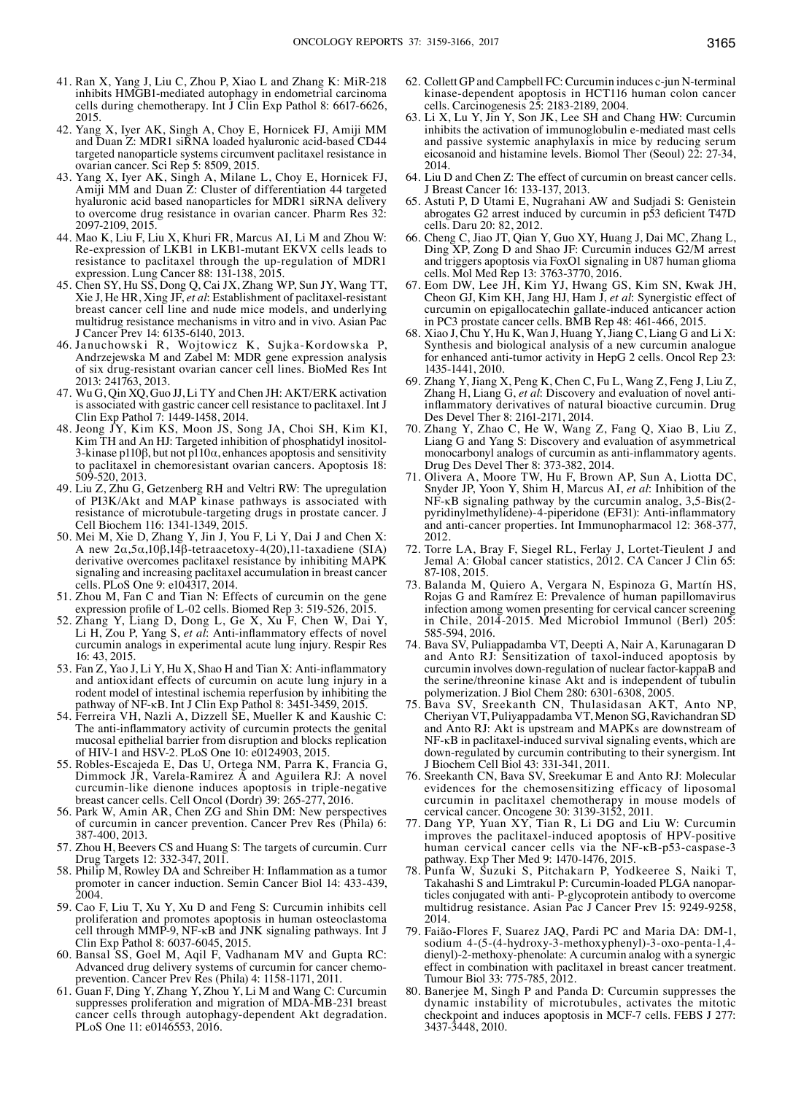- 41. Ran X, Yang J, Liu C, Zhou P, Xiao L and Zhang K: MiR-218 inhibits HMGB1-mediated autophagy in endometrial carcinoma cells during chemotherapy. Int J Clin Exp Pathol 8: 6617-6626, 2015.
- 42. Yang X, Iyer AK, Singh A, Choy E, Hornicek FJ, Amiji MM and Duan Z: MDR1 siRNA loaded hyaluronic acid-based CD44 targeted nanoparticle systems circumvent paclitaxel resistance in ovarian cancer. Sci Rep 5: 8509, 2015.
- 43. Yang X, Iyer AK, Singh A, Milane L, Choy E, Hornicek FJ, Amiji MM and Duan Z: Cluster of differentiation 44 targeted hyaluronic acid based nanoparticles for MDR1 siRNA delivery to overcome drug resistance in ovarian cancer. Pharm Res 32: 2097-2109, 2015.
- 44. Mao K, Liu F, Liu X, Khuri FR, Marcus AI, Li M and Zhou W: Re-expression of LKB1 in LKB1-mutant EKVX cells leads to resistance to paclitaxel through the up-regulation of MDR1 expression. Lung Cancer 88: 131-138, 2015.
- 45. Chen SY, Hu SS, Dong Q, Cai JX, Zhang WP, Sun JY, Wang TT, Xie J, He HR, Xing JF, *et al*: Establishment of paclitaxel-resistant breast cancer cell line and nude mice models, and underlying multidrug resistance mechanisms in vitro and in vivo. Asian Pac J Cancer Prev 14: 6135-6140, 2013.
- 46. Januchowski R, Wojtowicz K, Sujka-Kordowska P, Andrzejewska M and Zabel M: MDR gene expression analysis of six drug-resistant ovarian cancer cell lines. BioMed Res Int 2013: 241763, 2013.
- 47. Wu G, Qin XQ, Guo JJ, Li TY and Chen JH: AKT/ERK activation is associated with gastric cancer cell resistance to paclitaxel. Int J Clin Exp Pathol 7: 1449-1458, 2014.
- 48. Jeong JY, Kim KS, Moon JS, Song JA, Choi SH, Kim KI, Kim TH and An HJ: Targeted inhibition of phosphatidyl inositol-3-kinase p110β, but not p110α, enhances apoptosis and sensitivity to paclitaxel in chemoresistant ovarian cancers. Apoptosis 18: 509-520, 2013.
- 49. Liu Z, Zhu G, Getzenberg RH and Veltri RW: The upregulation of PI3K/Akt and MAP kinase pathways is associated with resistance of microtubule-targeting drugs in prostate cancer. J Cell Biochem 116: 1341-1349, 2015.
- 50. Mei M, Xie D, Zhang Y, Jin J, You F, Li Y, Dai J and Chen X: A new 2α,5α,10β,14β-tetraacetoxy-4(20),11-taxadiene (SIA) derivative overcomes paclitaxel resistance by inhibiting MAPK signaling and increasing paclitaxel accumulation in breast cancer cells. PLoS One 9: e104317, 2014.
- 51. Zhou M, Fan C and Tian N: Effects of curcumin on the gene expression profile of L-02 cells. Biomed Rep 3: 519-526, 2015.
- 52. Zhang Y, Liang D, Dong L, Ge X, Xu F, Chen W, Dai Y, Li H, Zou P, Yang S, *et al*: Anti-inflammatory effects of novel curcumin analogs in experimental acute lung injury. Respir Res 16: 43, 2015.
- 53. Fan Z, Yao J, Li Y, Hu X, Shao H and Tian X: Anti-inflammatory and antioxidant effects of curcumin on acute lung injury in a rodent model of intestinal ischemia reperfusion by inhibiting the pathway of NF-κB. Int J Clin Exp Pathol 8: 3451-3459, 2015.
- 54. Ferreira VH, Nazli A, Dizzell SE, Mueller K and Kaushic C: The anti-inflammatory activity of curcumin protects the genital mucosal epithelial barrier from disruption and blocks replication
- of HIV-1 and HSV-2. PLoS One 10: e0124903, 2015. Dimmock JR, Varela-Ramirez A and Aguilera RJ: A novel curcumin-like dienone induces apoptosis in triple-negative breast cancer cells. Cell Oncol (Dordr) 39: 265-277, 2016.
- 56. Park W, Amin AR, Chen ZG and Shin DM: New perspectives of curcumin in cancer prevention. Cancer Prev Res (Phila) 6: 387-400, 2013.
- 57. Zhou H, Beevers CS and Huang S: The targets of curcumin. Curr Drug Targets 12: 332-347, 2011.
- 58. Philip M, Rowley DA and Schreiber H: Inflammation as a tumor promoter in cancer induction. Semin Cancer Biol 14: 433-439, 2004.
- 59. Cao F, Liu T, Xu Y, Xu D and Feng S: Curcumin inhibits cell proliferation and promotes apoptosis in human osteoclastoma cell through MMP-9, NF-κB and JNK signaling pathways. Int J Clin Exp Pathol 8: 6037-6045, 2015.
- 60. Bansal SS, Goel M, Aqil F, Vadhanam MV and Gupta RC: Advanced drug delivery systems of curcumin for cancer chemoprevention. Cancer Prev Res (Phila) 4: 1158-1171, 2011.
- 61. Guan F, Ding Y, Zhang Y, Zhou Y, Li M and Wang C: Curcumin suppresses proliferation and migration of MDA-MB-231 breast cancer cells through autophagy-dependent Akt degradation. PLoS One 11: e0146553, 2016.
- 62. Collett GP and Campbell FC: Curcumin induces c-jun N-terminal kinase-dependent apoptosis in HCT116 human colon cancer cells. Carcinogenesis 25: 2183-2189, 2004.
- 63. Li X, Lu Y, Jin Y, Son JK, Lee SH and Chang HW: Curcumin inhibits the activation of immunoglobulin e-mediated mast cells and passive systemic anaphylaxis in mice by reducing serum eicosanoid and histamine levels. Biomol Ther (Seoul) 22: 27-34, 2014.
- 64. Liu D and Chen Z: The effect of curcumin on breast cancer cells. J Breast Cancer 16: 133-137, 2013.
- 65. Astuti P, D Utami E, Nugrahani AW and Sudjadi S: Genistein abrogates G2 arrest induced by curcumin in p53 deficient T47D cells. Daru 20: 82, 2012.
- 66. Cheng C, Jiao JT, Qian Y, Guo XY, Huang J, Dai MC, Zhang L, Ding XP, Zong D and Shao JF: Curcumin induces G2/M arrest and triggers apoptosis via FoxO1 signaling in U87 human glioma cells. Mol Med Rep 13: 3763-3770, 2016.
- 67. Eom DW, Lee JH, Kim YJ, Hwang GS, Kim SN, Kwak JH, Cheon GJ, Kim KH, Jang HJ, Ham J, *et al*: Synergistic effect of curcumin on epigallocatechin gallate-induced anticancer action in PC3 prostate cancer cells. BMB Rep 48: 461-466, 2015.
- 68. Xiao J, Chu Y, Hu K, Wan J, Huang Y, Jiang C, Liang G and Li X: Synthesis and biological analysis of a new curcumin analogue for enhanced anti-tumor activity in HepG 2 cells. Oncol Rep 23: 1435-1441, 2010.
- 69. Zhang Y, Jiang X, Peng K, Chen C, Fu L, Wang Z, Feng J, Liu Z, Zhang H, Liang G, *et al*: Discovery and evaluation of novel antiinflammatory derivatives of natural bioactive curcumin. Drug Des Devel Ther 8: 2161-2171, 2014.
- 70. Zhang Y, Zhao C, He W, Wang Z, Fang Q, Xiao B, Liu Z, Liang G and Yang S: Discovery and evaluation of asymmetrical monocarbonyl analogs of curcumin as anti-inflammatory agents. Drug Des Devel Ther 8: 373-382, 2014.
- 71. Olivera A, Moore TW, Hu F, Brown AP, Sun A, Liotta DC, Snyder JP, Yoon Y, Shim H, Marcus AI, *et al*: Inhibition of the NF-κB signaling pathway by the curcumin analog, 3,5-Bis(2 pyridinylmethylidene)-4-piperidone (EF31): Anti-inflammatory and anti-cancer properties. Int Immunopharmacol 12: 368-377, 2012.
- 72. Torre LA, Bray F, Siegel RL, Ferlay J, Lortet-Tieulent J and Jemal A: Global cancer statistics, 2012. CA Cancer J Clin 65: 87-108, 2015.
- 73. Balanda M, Quiero A, Vergara N, Espinoza G, Martín HS, Rojas G and Ramírez E: Prevalence of human papillomavirus infection among women presenting for cervical cancer screening in Chile, 2014-2015. Med Microbiol Immunol (Berl) 205: 585-594, 2016.
- 74. Bava SV, Puliappadamba VT, Deepti A, Nair A, Karunagaran D and Anto RJ: Sensitization of taxol-induced apoptosis by curcumin involves down-regulation of nuclear factor-kappaB and the serine/threonine kinase Akt and is independent of tubulin polymerization. J Biol Chem 280: 6301-6308, 2005.
- 75. Bava SV, Sreekanth CN, Thulasidasan AKT, Anto NP, Cheriyan VT, Puliyappadamba VT, Menon SG, Ravichandran SD and Anto RJ: Akt is upstream and MAPKs are downstream of NF-κB in paclitaxel-induced survival signaling events, which are down-regulated by curcumin contributing to their synergism. Int Biochem Cell Biol 43: 331-341, 2011.
- 76. Sreekanth CN, Bava SV, Sreekumar E and Anto RJ: Molecular evidences for the chemosensitizing efficacy of liposomal curcumin in paclitaxel chemotherapy in mouse models of cervical cancer. Oncogene 30: 3139-3152, 2011.
- 77. Dang YP, Yuan XY, Tian R, Li DG and Liu W: Curcumin improves the paclitaxel-induced apoptosis of HPV-positive human cervical cancer cells via the NF-κB-p53-caspase-3 pathway. Exp Ther Med 9: 1470-1476, 2015.
- 78. Punfa W, Suzuki S, Pitchakarn P, Yodkeeree S, Naiki T, Takahashi S and Limtrakul P: Curcumin-loaded PLGA nanoparticles conjugated with anti- P-glycoprotein antibody to overcome multidrug resistance. Asian Pac J Cancer Prev 15: 9249-9258, 2014.
- 79. Faião-Flores F, Suarez JAQ, Pardi PC and Maria DA: DM-1, sodium 4-(5-(4-hydroxy-3-methoxyphenyl)-3-oxo-penta-1,4 dienyl)-2-methoxy-phenolate: A curcumin analog with a synergic effect in combination with paclitaxel in breast cancer treatment. Tumour Biol 33: 775-785, 2012.
- 80. Banerjee M, Singh P and Panda D: Curcumin suppresses the dynamic instability of microtubules, activates the mitotic checkpoint and induces apoptosis in MCF-7 cells. FEBS J 277: 3437-3448, 2010.